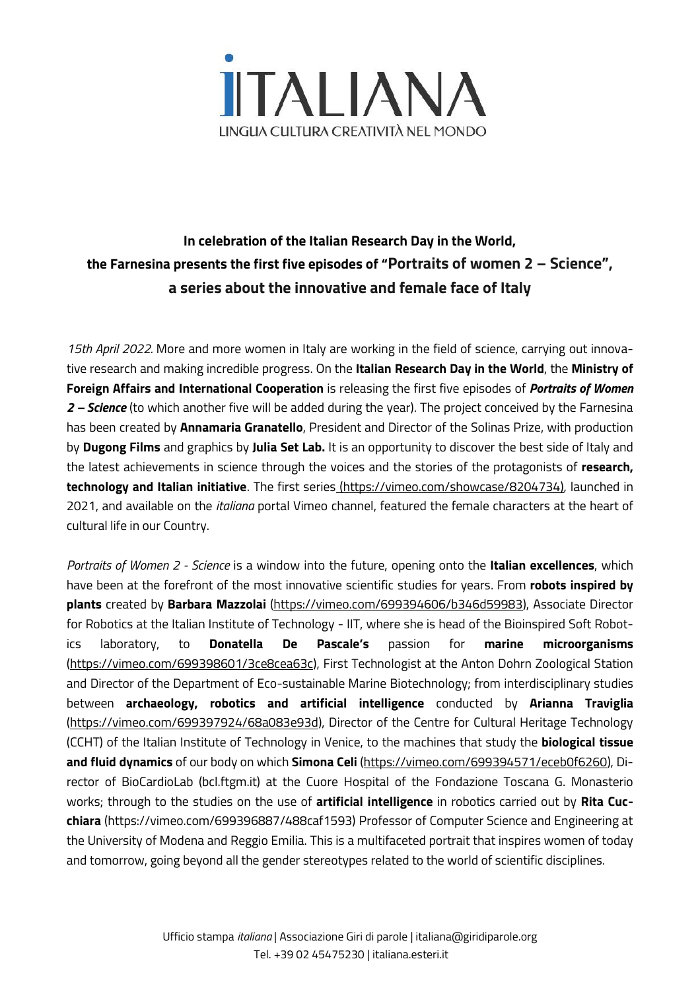

# **In celebration of the Italian Research Day in the World, the Farnesina presents the first five episodes of "Portraits of women 2 – Science", a series about the innovative and female face of Italy**

*15th April 2022.* More and more women in Italy are working in the field of science, carrying out innovative research and making incredible progress. On the **Italian Research Day in the World**, the **Ministry of Foreign Affairs and International Cooperation** is releasing the first five episodes of *Portraits of Women 2 – Science* (to which another five will be added during the year). The project conceived by the Farnesina has been created by **Annamaria Granatello**, President and Director of the Solinas Prize, with production by **Dugong Films** and graphics by **Julia Set Lab.** It is an opportunity to discover the best side of Italy and the latest achievements in science through the voices and the stories of the protagonists of **research, technology and Italian initiative**. The first series (https://vimeo.com/showcase/8204734), launched in 2021, and available on the *italiana* portal Vimeo channel, featured the female characters at the heart of cultural life in our Country.

*Portraits of Women 2 - Science* is a window into the future, opening onto the **Italian excellences**, which have been at the forefront of the most innovative scientific studies for years. From **robots inspired by plants** created by **Barbara Mazzolai** [\(https://vimeo.com/699394606/b346d59983\)](https://vimeo.com/699394606/b346d59983), Associate Director for Robotics at the Italian Institute of Technology - IIT, where she is head of the Bioinspired Soft Robotics laboratory, to **Donatella De Pascale's** passion for **marine microorganisms** [\(https://vimeo.com/699398601/3ce8cea63c\)](https://vimeo.com/699398601/3ce8cea63c), First Technologist at the Anton Dohrn Zoological Station and Director of the Department of Eco-sustainable Marine Biotechnology; from interdisciplinary studies between **archaeology, robotics and artificial intelligence** conducted by **Arianna Traviglia** [\(https://vimeo.com/699397924/68a083e93d\)](https://vimeo.com/699397924/68a083e93d), Director of the Centre for Cultural Heritage Technology (CCHT) of the Italian Institute of Technology in Venice, to the machines that study the **biological tissue and fluid dynamics** of our body on which **Simona Celi** [\(https://vimeo.com/699394571/eceb0f6260\)](https://vimeo.com/699394571/eceb0f6260), Director of BioCardioLab (bcl.ftgm.it) at the Cuore Hospital of the Fondazione Toscana G. Monasterio works; through to the studies on the use of **artificial intelligence** in robotics carried out by **Rita Cucchiara** (https://vimeo.com/699396887/488caf1593) Professor of Computer Science and Engineering at the University of Modena and Reggio Emilia. This is a multifaceted portrait that inspires women of today and tomorrow, going beyond all the gender stereotypes related to the world of scientific disciplines.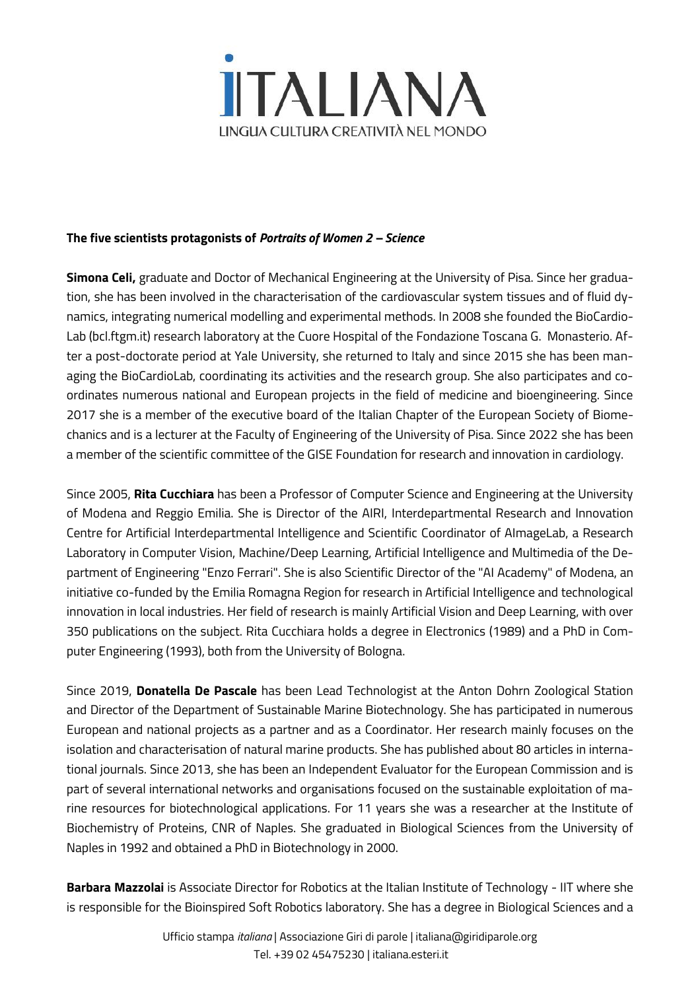

#### **The five scientists protagonists of** *Portraits of Women 2 – Science*

**Simona Celi,** graduate and Doctor of Mechanical Engineering at the University of Pisa. Since her graduation, she has been involved in the characterisation of the cardiovascular system tissues and of fluid dynamics, integrating numerical modelling and experimental methods. In 2008 she founded the BioCardio-Lab (bcl.ftgm.it) research laboratory at the Cuore Hospital of the Fondazione Toscana G. Monasterio. After a post-doctorate period at Yale University, she returned to Italy and since 2015 she has been managing the BioCardioLab, coordinating its activities and the research group. She also participates and coordinates numerous national and European projects in the field of medicine and bioengineering. Since 2017 she is a member of the executive board of the Italian Chapter of the European Society of Biomechanics and is a lecturer at the Faculty of Engineering of the University of Pisa. Since 2022 she has been a member of the scientific committee of the GISE Foundation for research and innovation in cardiology.

Since 2005, **Rita Cucchiara** has been a Professor of Computer Science and Engineering at the University of Modena and Reggio Emilia. She is Director of the AIRI, Interdepartmental Research and Innovation Centre for Artificial Interdepartmental Intelligence and Scientific Coordinator of AImageLab, a Research Laboratory in Computer Vision, Machine/Deep Learning, Artificial Intelligence and Multimedia of the Department of Engineering "Enzo Ferrari". She is also Scientific Director of the "AI Academy" of Modena, an initiative co-funded by the Emilia Romagna Region for research in Artificial Intelligence and technological innovation in local industries. Her field of research is mainly Artificial Vision and Deep Learning, with over 350 publications on the subject. Rita Cucchiara holds a degree in Electronics (1989) and a PhD in Computer Engineering (1993), both from the University of Bologna.

Since 2019, **Donatella De Pascale** has been Lead Technologist at the Anton Dohrn Zoological Station and Director of the Department of Sustainable Marine Biotechnology. She has participated in numerous European and national projects as a partner and as a Coordinator. Her research mainly focuses on the isolation and characterisation of natural marine products. She has published about 80 articles in international journals. Since 2013, she has been an Independent Evaluator for the European Commission and is part of several international networks and organisations focused on the sustainable exploitation of marine resources for biotechnological applications. For 11 years she was a researcher at the Institute of Biochemistry of Proteins, CNR of Naples. She graduated in Biological Sciences from the University of Naples in 1992 and obtained a PhD in Biotechnology in 2000.

**Barbara Mazzolai** is Associate Director for Robotics at the Italian Institute of Technology - IIT where she is responsible for the Bioinspired Soft Robotics laboratory. She has a degree in Biological Sciences and a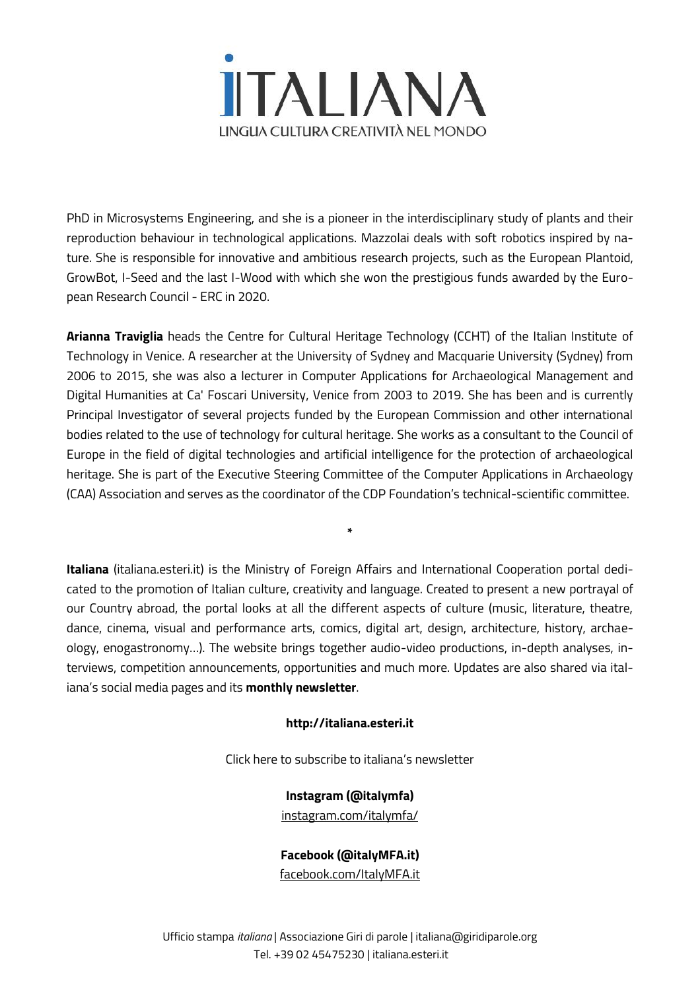

PhD in Microsystems Engineering, and she is a pioneer in the interdisciplinary study of plants and their reproduction behaviour in technological applications. Mazzolai deals with soft robotics inspired by nature. She is responsible for innovative and ambitious research projects, such as the European Plantoid, GrowBot, I-Seed and the last I-Wood with which she won the prestigious funds awarded by the European Research Council - ERC in 2020.

**Arianna Traviglia** heads the Centre for Cultural Heritage Technology (CCHT) of the Italian Institute of Technology in Venice. A researcher at the University of Sydney and Macquarie University (Sydney) from 2006 to 2015, she was also a lecturer in Computer Applications for Archaeological Management and Digital Humanities at Ca' Foscari University, Venice from 2003 to 2019. She has been and is currently Principal Investigator of several projects funded by the European Commission and other international bodies related to the use of technology for cultural heritage. She works as a consultant to the Council of Europe in the field of digital technologies and artificial intelligence for the protection of archaeological heritage. She is part of the Executive Steering Committee of the Computer Applications in Archaeology (CAA) Association and serves as the coordinator of the CDP Foundation's technical-scientific committee.

**Italiana** (italiana.esteri.it) is the Ministry of Foreign Affairs and International Cooperation portal dedicated to the promotion of Italian culture, creativity and language. Created to present a new portrayal of our Country abroad, the portal looks at all the different aspects of culture (music, literature, theatre, dance, cinema, visual and performance arts, comics, digital art, design, architecture, history, archaeology, enogastronomy…). The website brings together audio-video productions, in-depth analyses, interviews, competition announcements, opportunities and much more. Updates are also shared via italiana's social media pages and its **monthly newsletter**.

**\***

#### **http://italiana.esteri.it**

Click here to subscribe to italiana's newsletter

### **Instagram (@italymfa)**

[instagram.com/italymfa/](https://www.instagram.com/italymfa/)

**Facebook (@italyMFA.it)**

[facebook.com/ItalyMFA.it](https://www.facebook.com/ItalyMFA.it)

Ufficio stampa *italiana* | Associazione Giri di parole | italiana@giridiparole.org Tel. +39 02 45475230 | italiana.esteri.it